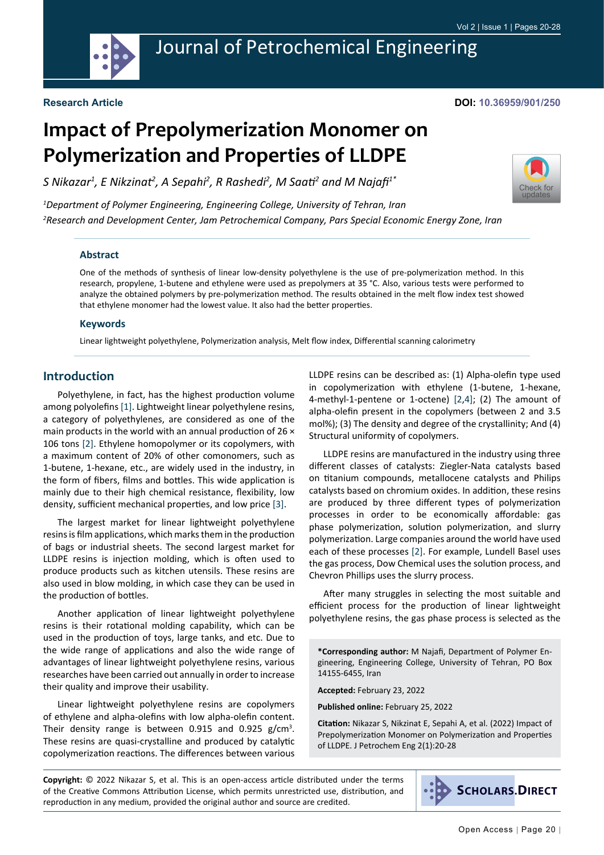

## Journal of Petrochemical Engineering

#### **Research Article**

#### **DOI: 10.36959/901/250**

# **Impact of Prepolymerization Monomer on Polymerization and Properties of LLDPE**

*S Nikazar1 , E Nikzinat2 , A Sepahi2 , R Rashedi2 , M Saati<sup>2</sup> and M Najafi1\**



*1 Department of Polymer Engineering, Engineering College, University of Tehran, Iran 2 Research and Development Center, Jam Petrochemical Company, Pars Special Economic Energy Zone, Iran*

#### **Abstract**

One of the methods of synthesis of linear low-density polyethylene is the use of pre-polymerization method. In this research, propylene, 1-butene and ethylene were used as prepolymers at 35 °C. Also, various tests were performed to analyze the obtained polymers by pre-polymerization method. The results obtained in the melt flow index test showed that ethylene monomer had the lowest value. It also had the better properties.

#### **Keywords**

Linear lightweight polyethylene, Polymerization analysis, Melt flow index, Differential scanning calorimetry

## **Introduction**

Polyethylene, in fact, has the highest production volume among polyolefins [[1](#page-7-0)]. Lightweight linear polyethylene resins, a category of polyethylenes, are considered as one of the main products in the world with an annual production of 26 × 106 tons [\[2](#page-7-1)]. Ethylene homopolymer or its copolymers, with a maximum content of 20% of other comonomers, such as 1-butene, 1-hexane, etc., are widely used in the industry, in the form of fibers, films and bottles. This wide application is mainly due to their high chemical resistance, flexibility, low density, sufficient mechanical properties, and low price [[3\]](#page-7-2).

The largest market for linear lightweight polyethylene resins is film applications, which marks them in the production of bags or industrial sheets. The second largest market for LLDPE resins is injection molding, which is often used to produce products such as kitchen utensils. These resins are also used in blow molding, in which case they can be used in the production of bottles.

Another application of linear lightweight polyethylene resins is their rotational molding capability, which can be used in the production of toys, large tanks, and etc. Due to the wide range of applications and also the wide range of advantages of linear lightweight polyethylene resins, various researches have been carried out annually in order to increase their quality and improve their usability.

Linear lightweight polyethylene resins are copolymers of ethylene and alpha-olefins with low alpha-olefin content. Their density range is between  $0.915$  and  $0.925$  g/cm<sup>3</sup>. These resins are quasi-crystalline and produced by catalytic copolymerization reactions. The differences between various

LLDPE resins can be described as: (1) Alpha-olefin type used in copolymerization with ethylene (1-butene, 1-hexane, 4-methyl-1-pentene or 1-octene) [[2,](#page-7-1)[4](#page-7-3)]; (2) The amount of alpha-olefin present in the copolymers (between 2 and 3.5 mol%); (3) The density and degree of the crystallinity; And (4) Structural uniformity of copolymers.

LLDPE resins are manufactured in the industry using three different classes of catalysts: Ziegler-Nata catalysts based on titanium compounds, metallocene catalysts and Philips catalysts based on chromium oxides. In addition, these resins are produced by three different types of polymerization processes in order to be economically affordable: gas phase polymerization, solution polymerization, and slurry polymerization. Large companies around the world have used each of these processes [[2\]](#page-7-1). For example, Lundell Basel uses the gas process, Dow Chemical uses the solution process, and Chevron Phillips uses the slurry process.

After many struggles in selecting the most suitable and efficient process for the production of linear lightweight polyethylene resins, the gas phase process is selected as the

**\*Corresponding author:** M Najafi, Department of Polymer Engineering, Engineering College, University of Tehran, PO Box 14155-6455, Iran

**Accepted:** February 23, 2022

**Published online:** February 25, 2022

**Citation:** Nikazar S, Nikzinat E, Sepahi A, et al. (2022) Impact of Prepolymerization Monomer on Polymerization and Properties of LLDPE. J Petrochem Eng 2(1):20-28

**Copyright:** © 2022 Nikazar S, et al. This is an open-access article distributed under the terms of the Creative Commons Attribution License, which permits unrestricted use, distribution, and reproduction in any medium, provided the original author and source are credited.

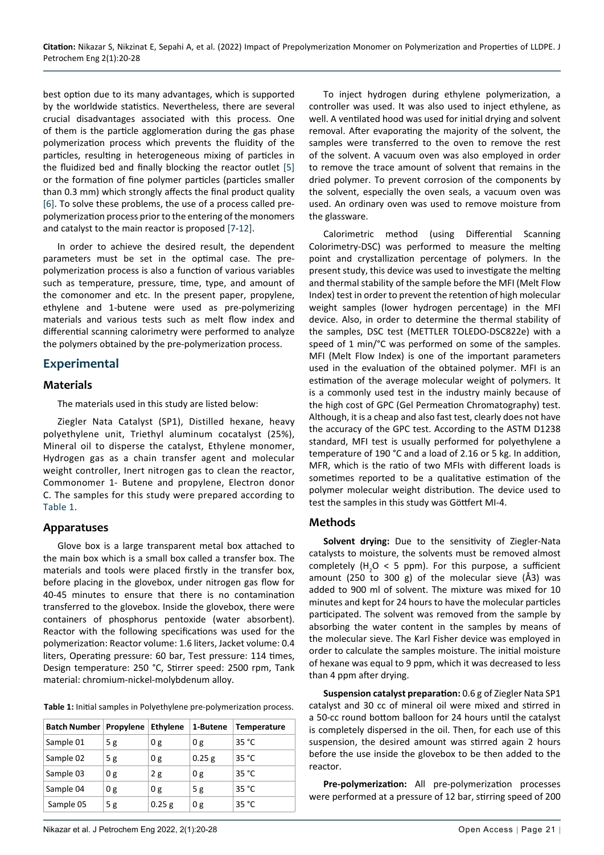best option due to its many advantages, which is supported by the worldwide statistics. Nevertheless, there are several crucial disadvantages associated with this process. One of them is the particle agglomeration during the gas phase polymerization process which prevents the fluidity of the particles, resulting in heterogeneous mixing of particles in the fluidized bed and finally blocking the reactor outlet [\[5](#page-7-4)] or the formation of fine polymer particles (particles smaller than 0.3 mm) which strongly affects the final product quality [[6\]](#page-7-5). To solve these problems, the use of a process called prepolymerization process prior to the entering of the monomers and catalyst to the main reactor is proposed [\[7](#page-8-0)-[12](#page-8-1)].

In order to achieve the desired result, the dependent parameters must be set in the optimal case. The prepolymerization process is also a function of various variables such as temperature, pressure, time, type, and amount of the comonomer and etc. In the present paper, propylene, ethylene and 1-butene were used as pre-polymerizing materials and various tests such as melt flow index and differential scanning calorimetry were performed to analyze the polymers obtained by the pre-polymerization process.

## **Experimental**

#### **Materials**

The materials used in this study are listed below:

Ziegler Nata Catalyst (SP1), Distilled hexane, heavy polyethylene unit, Triethyl aluminum cocatalyst (25%), Mineral oil to disperse the catalyst, Ethylene monomer, Hydrogen gas as a chain transfer agent and molecular weight controller, Inert nitrogen gas to clean the reactor, Commonomer 1- Butene and propylene, Electron donor C. The samples for this study were prepared according to [Table 1](#page-1-0).

## **Apparatuses**

Glove box is a large transparent metal box attached to the main box which is a small box called a transfer box. The materials and tools were placed firstly in the transfer box, before placing in the glovebox, under nitrogen gas flow for 40-45 minutes to ensure that there is no contamination transferred to the glovebox. Inside the glovebox, there were containers of phosphorus pentoxide (water absorbent). Reactor with the following specifications was used for the polymerization: Reactor volume: 1.6 liters, Jacket volume: 0.4 liters, Operating pressure: 60 bar, Test pressure: 114 times, Design temperature: 250 °C, Stirrer speed: 2500 rpm, Tank material: chromium-nickel-molybdenum alloy.

<span id="page-1-0"></span>

| Table 1: Initial samples in Polyethylene pre-polymerization process. |  |  |  |
|----------------------------------------------------------------------|--|--|--|
|----------------------------------------------------------------------|--|--|--|

| Batch Number   Propylene |     | <b>Ethylene</b> | 1-Butene | <b>Temperature</b> |
|--------------------------|-----|-----------------|----------|--------------------|
| Sample 01                | 5 g | 0g              | 0g       | 35 °C              |
| Sample 02                | 5 g | 0 g             | $0.25$ g | 35 °C              |
| Sample 03                | 0g  | 2g              | 0g       | 35 °C              |
| Sample 04                | 0g  | 0 g             | 5 g      | 35 °C              |
| Sample 05                | 5g  | $0.25$ g        | 0g       | 35 °C              |

To inject hydrogen during ethylene polymerization, a controller was used. It was also used to inject ethylene, as well. A ventilated hood was used for initial drying and solvent removal. After evaporating the majority of the solvent, the samples were transferred to the oven to remove the rest of the solvent. A vacuum oven was also employed in order to remove the trace amount of solvent that remains in the dried polymer. To prevent corrosion of the components by the solvent, especially the oven seals, a vacuum oven was used. An ordinary oven was used to remove moisture from the glassware.

Calorimetric method (using Differential Scanning Colorimetry-DSC) was performed to measure the melting point and crystallization percentage of polymers. In the present study, this device was used to investigate the melting and thermal stability of the sample before the MFI (Melt Flow Index) test in order to prevent the retention of high molecular weight samples (lower hydrogen percentage) in the MFI device. Also, in order to determine the thermal stability of the samples, DSC test (METTLER TOLEDO-DSC822e) with a speed of 1 min/°C was performed on some of the samples. MFI (Melt Flow Index) is one of the important parameters used in the evaluation of the obtained polymer. MFI is an estimation of the average molecular weight of polymers. It is a commonly used test in the industry mainly because of the high cost of GPC (Gel Permeation Chromatography) test. Although, it is a cheap and also fast test, clearly does not have the accuracy of the GPC test. According to the ASTM D1238 standard, MFI test is usually performed for polyethylene a temperature of 190 °C and a load of 2.16 or 5 kg. In addition, MFR, which is the ratio of two MFIs with different loads is sometimes reported to be a qualitative estimation of the polymer molecular weight distribution. The device used to test the samples in this study was Göttfert MI-4.

## **Methods**

**Solvent drying:** Due to the sensitivity of Ziegler-Nata catalysts to moisture, the solvents must be removed almost completely  $(H_2O < 5$  ppm). For this purpose, a sufficient amount (250 to 300 g) of the molecular sieve (Å3) was added to 900 ml of solvent. The mixture was mixed for 10 minutes and kept for 24 hours to have the molecular particles participated. The solvent was removed from the sample by absorbing the water content in the samples by means of the molecular sieve. The Karl Fisher device was employed in order to calculate the samples moisture. The initial moisture of hexane was equal to 9 ppm, which it was decreased to less than 4 ppm after drying.

**Suspension catalyst preparation:** 0.6 g of Ziegler Nata SP1 catalyst and 30 cc of mineral oil were mixed and stirred in a 50-cc round bottom balloon for 24 hours until the catalyst is completely dispersed in the oil. Then, for each use of this suspension, the desired amount was stirred again 2 hours before the use inside the glovebox to be then added to the reactor.

**Pre-polymerization:** All pre-polymerization processes were performed at a pressure of 12 bar, stirring speed of 200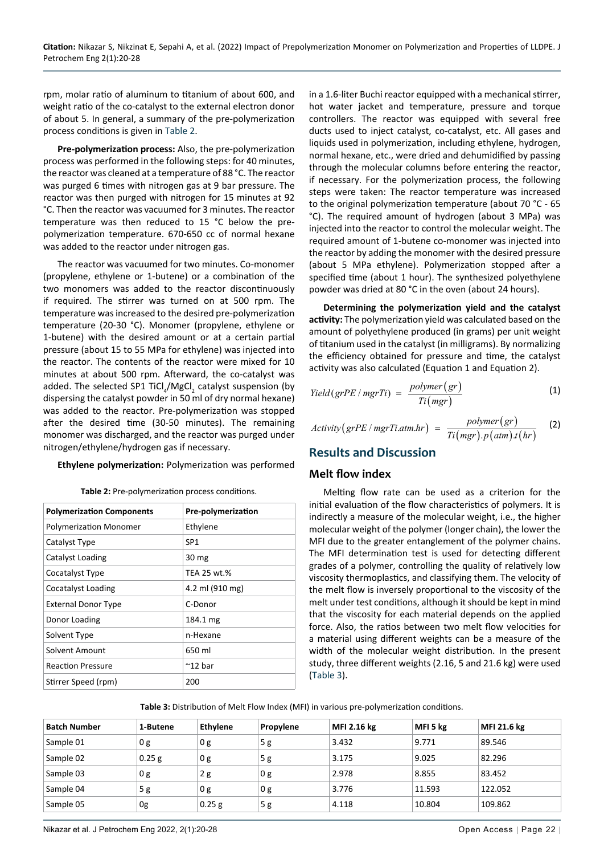rpm, molar ratio of aluminum to titanium of about 600, and weight ratio of the co-catalyst to the external electron donor of about 5. In general, a summary of the pre-polymerization process conditions is given in [Table 2](#page-2-1).

**Pre-polymerization process:** Also, the pre-polymerization process was performed in the following steps: for 40 minutes, the reactor was cleaned at a temperature of 88 °C. The reactor was purged 6 times with nitrogen gas at 9 bar pressure. The reactor was then purged with nitrogen for 15 minutes at 92 °C. Then the reactor was vacuumed for 3 minutes. The reactor temperature was then reduced to 15 °C below the prepolymerization temperature. 670-650 cc of normal hexane was added to the reactor under nitrogen gas.

The reactor was vacuumed for two minutes. Co-monomer (propylene, ethylene or 1-butene) or a combination of the two monomers was added to the reactor discontinuously if required. The stirrer was turned on at 500 rpm. The temperature was increased to the desired pre-polymerization temperature (20-30 °C). Monomer (propylene, ethylene or 1-butene) with the desired amount or at a certain partial pressure (about 15 to 55 MPa for ethylene) was injected into the reactor. The contents of the reactor were mixed for 10 minutes at about 500 rpm. Afterward, the co-catalyst was added. The selected SP1 TiCl<sub>4</sub>/MgCl<sub>2</sub> catalyst suspension (by dispersing the catalyst powder in 50 ml of dry normal hexane) was added to the reactor. Pre-polymerization was stopped after the desired time (30-50 minutes). The remaining monomer was discharged, and the reactor was purged under nitrogen/ethylene/hydrogen gas if necessary.

#### **Ethylene polymerization:** Polymerization was performed

| <b>Polymerization Components</b> | Pre-polymerization |
|----------------------------------|--------------------|
| <b>Polymerization Monomer</b>    | Ethylene           |
| Catalyst Type                    | SP <sub>1</sub>    |
| Catalyst Loading                 | 30 mg              |
| Cocatalyst Type                  | TEA 25 wt.%        |
| Cocatalyst Loading               | 4.2 ml (910 mg)    |
| <b>External Donor Type</b>       | C-Donor            |
| Donor Loading                    | 184.1 mg           |
| Solvent Type                     | n-Hexane           |
| Solvent Amount                   | 650 ml             |
| <b>Reaction Pressure</b>         | $^{\sim}$ 12 bar   |
| Stirrer Speed (rpm)              | 200                |

<span id="page-2-1"></span>**Table 2:** Pre-polymerization process conditions.

in a 1.6-liter Buchi reactor equipped with a mechanical stirrer, hot water jacket and temperature, pressure and torque controllers. The reactor was equipped with several free ducts used to inject catalyst, co-catalyst, etc. All gases and liquids used in polymerization, including ethylene, hydrogen, normal hexane, etc., were dried and dehumidified by passing through the molecular columns before entering the reactor, if necessary. For the polymerization process, the following steps were taken: The reactor temperature was increased to the original polymerization temperature (about 70 °C - 65 °C). The required amount of hydrogen (about 3 MPa) was injected into the reactor to control the molecular weight. The required amount of 1-butene co-monomer was injected into the reactor by adding the monomer with the desired pressure (about 5 MPa ethylene). Polymerization stopped after a specified time (about 1 hour). The synthesized polyethylene powder was dried at 80 °C in the oven (about 24 hours).

**Determining the polymerization yield and the catalyst activity:** The polymerization yield was calculated based on the amount of polyethylene produced (in grams) per unit weight of titanium used in the catalyst (in milligrams). By normalizing the efficiency obtained for pressure and time, the catalyst activity was also calculated (Equation 1 and Equation 2).

$$
Yield(grPE/mgrTi) = \frac{polymer(gr)}{Ti(mgr)} \tag{1}
$$

$$
Activity(grPE/mgrTi.atm.hr) = \frac{polymer(gr)}{Ti(mgr).p(atm).t(hr)}
$$
 (2)

## **Results and Discussion**

#### **Melt flow index**

Melting flow rate can be used as a criterion for the initial evaluation of the flow characteristics of polymers. It is indirectly a measure of the molecular weight, i.e., the higher molecular weight of the polymer (longer chain), the lower the MFI due to the greater entanglement of the polymer chains. The MFI determination test is used for detecting different grades of a polymer, controlling the quality of relatively low viscosity thermoplastics, and classifying them. The velocity of the melt flow is inversely proportional to the viscosity of the melt under test conditions, although it should be kept in mind that the viscosity for each material depends on the applied force. Also, the ratios between two melt flow velocities for a material using different weights can be a measure of the width of the molecular weight distribution. In the present study, three different weights (2.16, 5 and 21.6 kg) were used ([Table 3](#page-2-0)).

<span id="page-2-0"></span>**Table 3:** Distribution of Melt Flow Index (MFI) in various pre-polymerization conditions.

| <b>Batch Number</b> | 1-Butene       | <b>Ethylene</b> | Propylene | MFI 2.16 kg | MFI 5 kg | MFI 21.6 kg |
|---------------------|----------------|-----------------|-----------|-------------|----------|-------------|
| Sample 01           | 0 <sub>g</sub> | 0 g             | 5g        | 3.432       | 9.771    | 89.546      |
| Sample 02           | 0.25g          | 0g              | 5g        | 3.175       | 9.025    | 82.296      |
| Sample 03           | 0 <sub>g</sub> | 2g              | 0 g       | 2.978       | 8.855    | 83.452      |
| Sample 04           | 5g             | 0 g             | 0 g       | 3.776       | 11.593   | 122.052     |
| Sample 05           | 0g             | 0.25 g          | 5g        | 4.118       | 10.804   | 109.862     |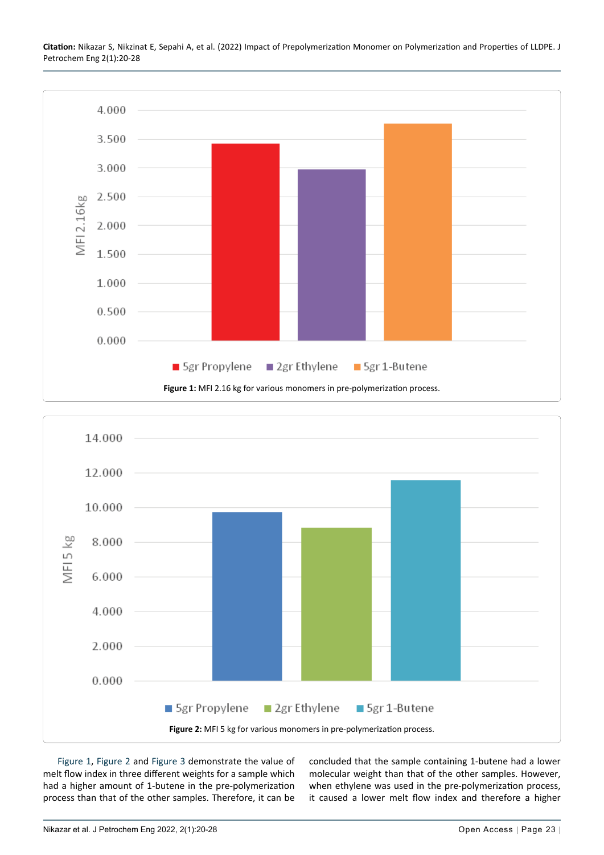**Citation:** Nikazar S, Nikzinat E, Sepahi A, et al. (2022) Impact of Prepolymerization Monomer on Polymerization and Properties of LLDPE. J Petrochem Eng 2(1):20-28

<span id="page-3-0"></span>

<span id="page-3-1"></span>

[Figure 1](#page-3-0), [Figure 2](#page-3-1) and [Figure 3](#page-4-0) demonstrate the value of melt flow index in three different weights for a sample which had a higher amount of 1-butene in the pre-polymerization process than that of the other samples. Therefore, it can be

concluded that the sample containing 1-butene had a lower molecular weight than that of the other samples. However, when ethylene was used in the pre-polymerization process, it caused a lower melt flow index and therefore a higher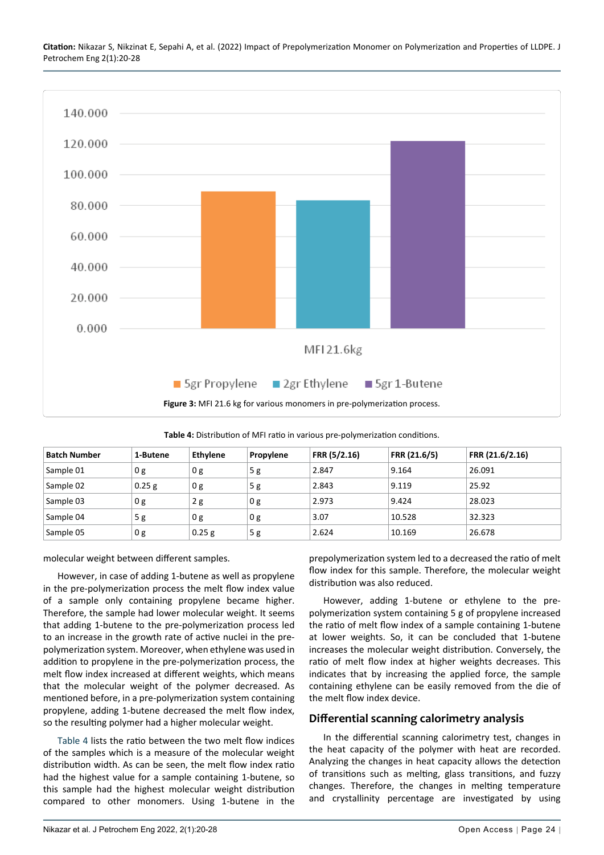**Citation:** Nikazar S, Nikzinat E, Sepahi A, et al. (2022) Impact of Prepolymerization Monomer on Polymerization and Properties of LLDPE. J Petrochem Eng 2(1):20-28

<span id="page-4-0"></span>

<span id="page-4-1"></span>**Table 4:** Distribution of MFI ratio in various pre-polymerization conditions.

| <b>Batch Number</b> | 1-Butene | <b>Ethylene</b> | Propylene      | FRR (5/2.16) | FRR (21.6/5) | FRR (21.6/2.16) |
|---------------------|----------|-----------------|----------------|--------------|--------------|-----------------|
| Sample 01           | 0 g      | 0 g             | 5g             | 2.847        | 9.164        | 26.091          |
| Sample 02           | 0.25 g   | 0 g             | 5g             | 2.843        | 9.119        | 25.92           |
| Sample 03           | 0g       | 2g              | 0 <sub>g</sub> | 2.973        | 9.424        | 28.023          |
| Sample 04           | 5g       | 0 g             | 0 <sub>g</sub> | 3.07         | 10.528       | 32.323          |
| Sample 05           | 0 g      | $0.25$ g        | 5g             | 2.624        | 10.169       | 26.678          |

molecular weight between different samples.

However, in case of adding 1-butene as well as propylene in the pre-polymerization process the melt flow index value of a sample only containing propylene became higher. Therefore, the sample had lower molecular weight. It seems that adding 1-butene to the pre-polymerization process led to an increase in the growth rate of active nuclei in the prepolymerization system. Moreover, when ethylene was used in addition to propylene in the pre-polymerization process, the melt flow index increased at different weights, which means that the molecular weight of the polymer decreased. As mentioned before, in a pre-polymerization system containing propylene, adding 1-butene decreased the melt flow index, so the resulting polymer had a higher molecular weight.

[Table 4](#page-4-1) lists the ratio between the two melt flow indices of the samples which is a measure of the molecular weight distribution width. As can be seen, the melt flow index ratio had the highest value for a sample containing 1-butene, so this sample had the highest molecular weight distribution compared to other monomers. Using 1-butene in the

prepolymerization system led to a decreased the ratio of melt flow index for this sample. Therefore, the molecular weight distribution was also reduced.

However, adding 1-butene or ethylene to the prepolymerization system containing 5 g of propylene increased the ratio of melt flow index of a sample containing 1-butene at lower weights. So, it can be concluded that 1-butene increases the molecular weight distribution. Conversely, the ratio of melt flow index at higher weights decreases. This indicates that by increasing the applied force, the sample containing ethylene can be easily removed from the die of the melt flow index device.

#### **Differential scanning calorimetry analysis**

In the differential scanning calorimetry test, changes in the heat capacity of the polymer with heat are recorded. Analyzing the changes in heat capacity allows the detection of transitions such as melting, glass transitions, and fuzzy changes. Therefore, the changes in melting temperature and crystallinity percentage are investigated by using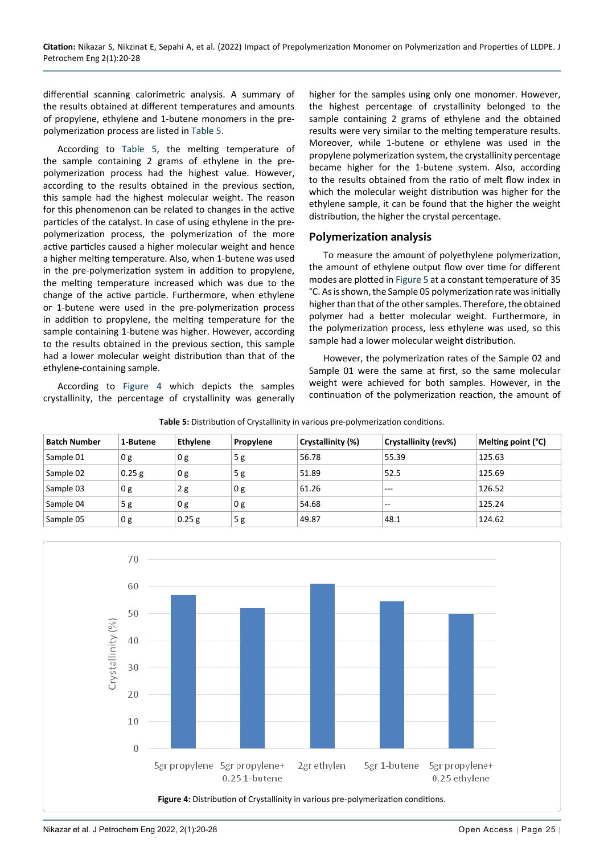differential scanning calorimetric analysis. A summary of the results obtained at different temperatures and amounts of propylene, ethylene and 1-butene monomers in the prepolymerization process are listed in [Table 5](#page-5-0).

According to [Table 5,](#page-5-0) the melting temperature of the sample containing 2 grams of ethylene in the prepolymerization process had the highest value. However, according to the results obtained in the previous section, this sample had the highest molecular weight. The reason for this phenomenon can be related to changes in the active particles of the catalyst. In case of using ethylene in the prepolymerization process, the polymerization of the more active particles caused a higher molecular weight and hence a higher melting temperature. Also, when 1-butene was used in the pre-polymerization system in addition to propylene, the melting temperature increased which was due to the change of the active particle. Furthermore, when ethylene or 1-butene were used in the pre-polymerization process in addition to propylene, the melting temperature for the sample containing 1-butene was higher. However, according to the results obtained in the previous section, this sample had a lower molecular weight distribution than that of the ethylene-containing sample.

According to [Figure 4](#page-5-1) which depicts the samples crystallinity, the percentage of crystallinity was generally

higher for the samples using only one monomer. However, the highest percentage of crystallinity belonged to the sample containing 2 grams of ethylene and the obtained results were very similar to the melting temperature results. Moreover, while 1-butene or ethylene was used in the propylene polymerization system, the crystallinity percentage became higher for the 1-butene system. Also, according to the results obtained from the ratio of melt flow index in which the molecular weight distribution was higher for the ethylene sample, it can be found that the higher the weight distribution, the higher the crystal percentage.

#### **Polymerization analysis**

To measure the amount of polyethylene polymerization, the amount of ethylene output flow over time for different modes are plotted in [Figure 5](#page-6-0) at a constant temperature of 35 °C. As is shown, the Sample 05 polymerization rate was initially higher than that of the other samples. Therefore, the obtained polymer had a better molecular weight. Furthermore, in the polymerization process, less ethylene was used, so this sample had a lower molecular weight distribution.

However, the polymerization rates of the Sample 02 and Sample 01 were the same at first, so the same molecular weight were achieved for both samples. However, in the continuation of the polymerization reaction, the amount of

| <b>Batch Number</b> | 1-Butene | <b>Ethylene</b> | Propylene | Crystallinity (%) | Crystallinity (rev%)                  | Melting point (°C) |
|---------------------|----------|-----------------|-----------|-------------------|---------------------------------------|--------------------|
| Sample 01           | 0 g      | 0 g             | 5g        | 56.78             | 55.39                                 | 125.63             |
| Sample 02           | $0.25$ g | 0 g             | 5g        | 51.89             | 52.5                                  | 125.69             |
| Sample 03           | 0 g      | 2g              | 0 g       | 61.26             | $- - -$                               | 126.52             |
| Sample 04           | 5g       | 0 <sub>g</sub>  | 0 g       | 54.68             | $\hspace{0.05cm}$ – $\hspace{0.05cm}$ | 125.24             |
| Sample 05           | 0 g      | 0.25 g          | 5g        | 49.87             | 48.1                                  | 124.62             |

<span id="page-5-0"></span>**Table 5:** Distribution of Crystallinity in various pre-polymerization conditions.

<span id="page-5-1"></span>![](_page_5_Figure_10.jpeg)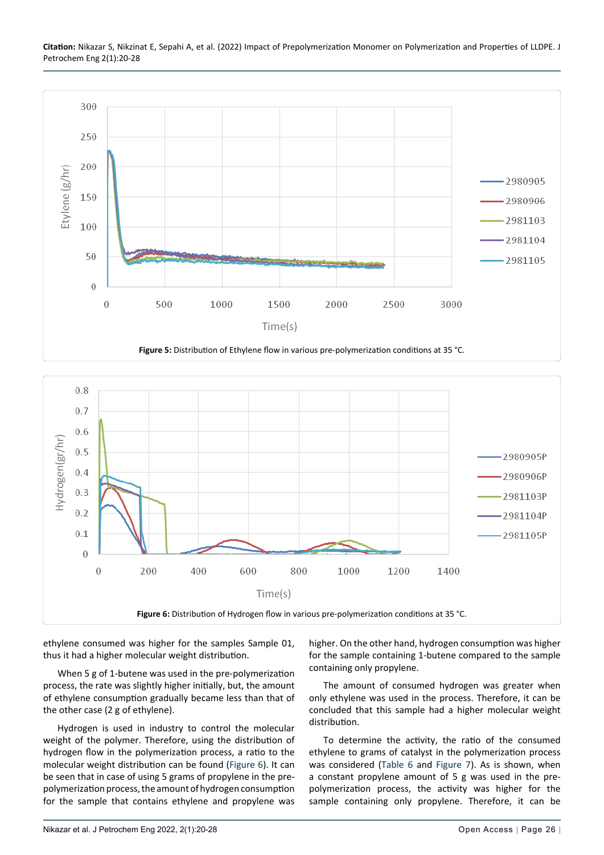<span id="page-6-0"></span>![](_page_6_Figure_1.jpeg)

<span id="page-6-1"></span>![](_page_6_Figure_2.jpeg)

ethylene consumed was higher for the samples Sample 01, thus it had a higher molecular weight distribution.

When 5 g of 1-butene was used in the pre-polymerization process, the rate was slightly higher initially, but, the amount of ethylene consumption gradually became less than that of the other case (2 g of ethylene).

Hydrogen is used in industry to control the molecular weight of the polymer. Therefore, using the distribution of hydrogen flow in the polymerization process, a ratio to the molecular weight distribution can be found [\(Figure 6](#page-6-1)). It can be seen that in case of using 5 grams of propylene in the prepolymerization process, the amount of hydrogen consumption for the sample that contains ethylene and propylene was

higher. On the other hand, hydrogen consumption was higher for the sample containing 1-butene compared to the sample containing only propylene.

The amount of consumed hydrogen was greater when only ethylene was used in the process. Therefore, it can be concluded that this sample had a higher molecular weight distribution.

To determine the activity, the ratio of the consumed ethylene to grams of catalyst in the polymerization process was considered [\(Table 6](#page-7-6) and [Figure 7](#page-7-7)). As is shown, when a constant propylene amount of 5 g was used in the prepolymerization process, the activity was higher for the sample containing only propylene. Therefore, it can be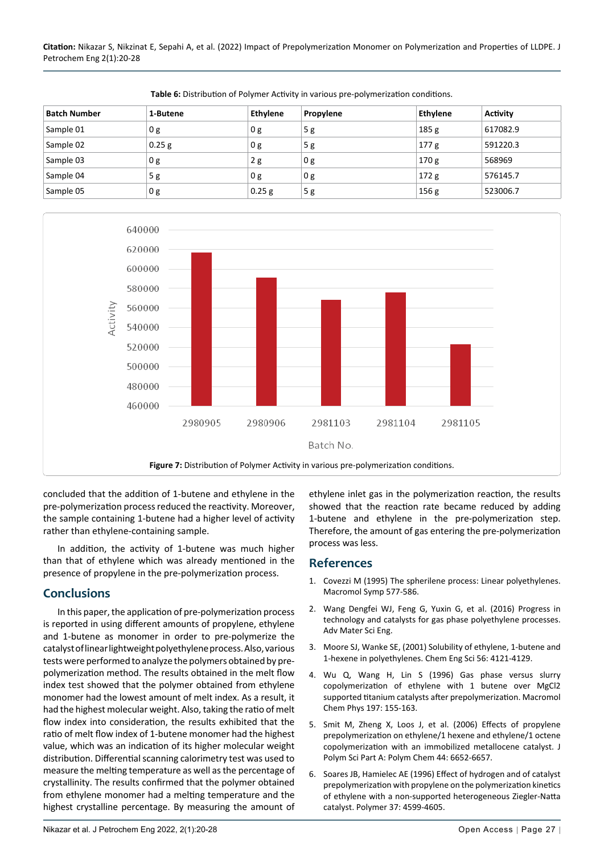**Citation:** Nikazar S, Nikzinat E, Sepahi A, et al. (2022) Impact of Prepolymerization Monomer on Polymerization and Properties of LLDPE. J Petrochem Eng 2(1):20-28

| <b>Batch Number</b> | 1-Butene | <b>Ethylene</b> | Propylene      | <b>Ethylene</b>  | <b>Activity</b> |
|---------------------|----------|-----------------|----------------|------------------|-----------------|
| Sample 01           | 0 g      | 0 <sub>g</sub>  | 5g             | 185 <sub>g</sub> | 617082.9        |
| Sample 02           | $0.25$ g | 0 <sub>g</sub>  | 5g             | 177 g            | 591220.3        |
| Sample 03           | 0 g      | 2g              | 0 <sub>g</sub> | 170 <sub>g</sub> | 568969          |
| Sample 04           | 5g       | 0 <sub>g</sub>  | 0 g            | 172 <sub>g</sub> | 576145.7        |
| Sample 05           | 0 g      | 0.25 g          | 5g             | 156g             | 523006.7        |

<span id="page-7-6"></span>**Table 6:** Distribution of Polymer Activity in various pre-polymerization conditions.

<span id="page-7-7"></span>![](_page_7_Figure_3.jpeg)

concluded that the addition of 1-butene and ethylene in the pre-polymerization process reduced the reactivity. Moreover, the sample containing 1-butene had a higher level of activity rather than ethylene-containing sample.

In addition, the activity of 1-butene was much higher than that of ethylene which was already mentioned in the presence of propylene in the pre-polymerization process.

## **Conclusions**

In this paper, the application of pre-polymerization process is reported in using different amounts of propylene, ethylene and 1-butene as monomer in order to pre-polymerize the catalyst of linear lightweight polyethylene process. Also, various tests were performed to analyze the polymers obtained by prepolymerization method. The results obtained in the melt flow index test showed that the polymer obtained from ethylene monomer had the lowest amount of melt index. As a result, it had the highest molecular weight. Also, taking the ratio of melt flow index into consideration, the results exhibited that the ratio of melt flow index of 1-butene monomer had the highest value, which was an indication of its higher molecular weight distribution. Differential scanning calorimetry test was used to measure the melting temperature as well as the percentage of crystallinity. The results confirmed that the polymer obtained from ethylene monomer had a melting temperature and the highest crystalline percentage. By measuring the amount of

ethylene inlet gas in the polymerization reaction, the results showed that the reaction rate became reduced by adding 1-butene and ethylene in the pre-polymerization step. Therefore, the amount of gas entering the pre-polymerization process was less.

## **References**

- <span id="page-7-0"></span>1. Covezzi M (1995) The spherilene process: Linear polyethylenes. Macromol Symp 577-586.
- <span id="page-7-1"></span>2. Wang Dengfei WJ, Feng G, Yuxin G, et al. (2016) Progress in technology and catalysts for gas phase polyethylene processes. Adv Mater Sci Eng.
- <span id="page-7-2"></span>3. [Moore SJ, Wanke SE, \(2001\) Solubility of ethylene, 1-butene and](https://www.semanticscholar.org/paper/Solubility-of-ethylene%2C-1-butene-and-1-hexene-in-Moore-Wanke/80249aacfb5e71d8607c0b0c224ce51a051c6d48#citing-papers)  [1-hexene in polyethylenes. Chem Eng Sci 56: 4121-4129.](https://www.semanticscholar.org/paper/Solubility-of-ethylene%2C-1-butene-and-1-hexene-in-Moore-Wanke/80249aacfb5e71d8607c0b0c224ce51a051c6d48#citing-papers)
- <span id="page-7-3"></span>4. [Wu Q, Wang H, Lin S \(1996\) Gas phase versus slurry](https://onlinelibrary.wiley.com/doi/abs/10.1002/macp.1996.021970112)  [copolymerization of ethylene with 1 butene over MgCl2](https://onlinelibrary.wiley.com/doi/abs/10.1002/macp.1996.021970112)  [supported titanium catalysts after prepolymerization. Macromol](https://onlinelibrary.wiley.com/doi/abs/10.1002/macp.1996.021970112)  [Chem Phys 197: 155-163.](https://onlinelibrary.wiley.com/doi/abs/10.1002/macp.1996.021970112)
- <span id="page-7-4"></span>5. [Smit M, Zheng X, Loos J, et al. \(2006\) Effects of propylene](http://chglib.icp.ac.ru/subjex/2012/pdf10/JPolymSciA-2006-44(22)6652.pdf)  [prepolymerization on ethylene/1 hexene and ethylene/1 octene](http://chglib.icp.ac.ru/subjex/2012/pdf10/JPolymSciA-2006-44(22)6652.pdf)  [copolymerization with an immobilized metallocene catalyst. J](http://chglib.icp.ac.ru/subjex/2012/pdf10/JPolymSciA-2006-44(22)6652.pdf)  [Polym Sci Part A: Polym Chem 44: 6652-6657.](http://chglib.icp.ac.ru/subjex/2012/pdf10/JPolymSciA-2006-44(22)6652.pdf)
- <span id="page-7-5"></span>6. [Soares JB, Hamielec AE \(1996\) Effect of hydrogen and of catalyst](https://www.semanticscholar.org/paper/Effect-of-hydrogen-and-of-catalyst-with-propylene-a-Soares-Hamielec/5fb6dfb3b470f60607a500db4db1f95b8e5e4d6c)  [prepolymerization with propylene on the polymerization kinetics](https://www.semanticscholar.org/paper/Effect-of-hydrogen-and-of-catalyst-with-propylene-a-Soares-Hamielec/5fb6dfb3b470f60607a500db4db1f95b8e5e4d6c)  [of ethylene with a non-supported heterogeneous Ziegler-Natta](https://www.semanticscholar.org/paper/Effect-of-hydrogen-and-of-catalyst-with-propylene-a-Soares-Hamielec/5fb6dfb3b470f60607a500db4db1f95b8e5e4d6c)  [catalyst. Polymer 37: 4599-4605.](https://www.semanticscholar.org/paper/Effect-of-hydrogen-and-of-catalyst-with-propylene-a-Soares-Hamielec/5fb6dfb3b470f60607a500db4db1f95b8e5e4d6c)